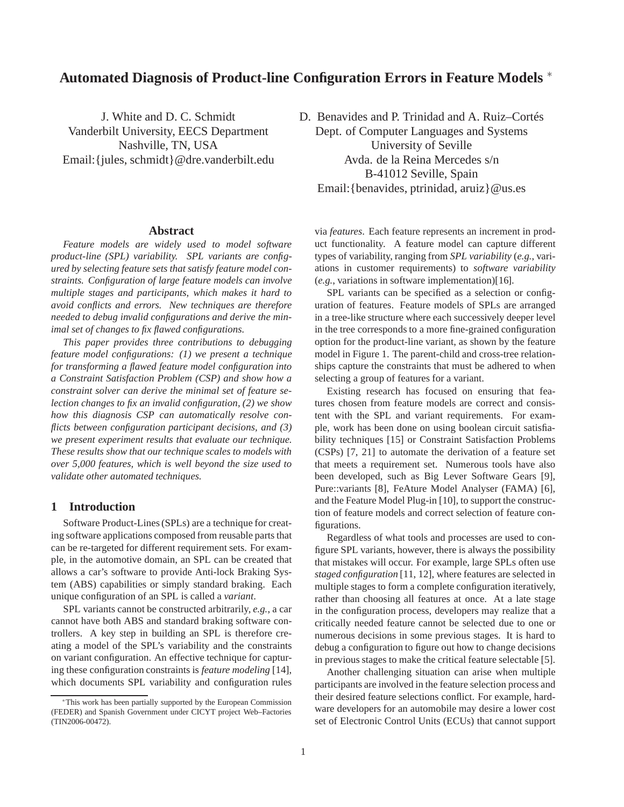# **Automated Diagnosis of Product-line Configuration Errors in Feature Models** <sup>∗</sup>

J. White and D. C. Schmidt Vanderbilt University, EECS Department Nashville, TN, USA Email:{jules, schmidt}@dre.vanderbilt.edu

#### **Abstract**

*Feature models are widely used to model software product-line (SPL) variability. SPL variants are configured by selecting feature sets that satisfy feature model constraints. Configuration of large feature models can involve multiple stages and participants, which makes it hard to avoid conflicts and errors. New techniques are therefore needed to debug invalid configurations and derive the minimal set of changes to fix flawed configurations.*

*This paper provides three contributions to debugging feature model configurations: (1) we present a technique for transforming a flawed feature model configuration into a Constraint Satisfaction Problem (CSP) and show how a constraint solver can derive the minimal set of feature selection changes to fix an invalid configuration, (2) we show how this diagnosis CSP can automatically resolve conflicts between configuration participant decisions, and (3) we present experiment results that evaluate our technique. These results show that our technique scales to models with over 5,000 features, which is well beyond the size used to validate other automated techniques.*

### **1 Introduction**

Software Product-Lines (SPLs) are a technique for creating software applications composed from reusable parts that can be re-targeted for different requirement sets. For example, in the automotive domain, an SPL can be created that allows a car's software to provide Anti-lock Braking System (ABS) capabilities or simply standard braking. Each unique configuration of an SPL is called a *variant*.

SPL variants cannot be constructed arbitrarily, *e.g.*, a car cannot have both ABS and standard braking software controllers. A key step in building an SPL is therefore creating a model of the SPL's variability and the constraints on variant configuration. An effective technique for capturing these configuration constraints is *feature modeling* [14], which documents SPL variability and configuration rules D. Benavides and P. Trinidad and A. Ruiz–Cortés Dept. of Computer Languages and Systems University of Seville Avda. de la Reina Mercedes s/n B-41012 Seville, Spain Email:{benavides, ptrinidad, aruiz}@us.es

via *features*. Each feature represents an increment in product functionality. A feature model can capture different types of variability, ranging from *SPL variability* (*e.g.*, variations in customer requirements) to *software variability* (*e.g.*, variations in software implementation)[16].

SPL variants can be specified as a selection or configuration of features. Feature models of SPLs are arranged in a tree-like structure where each successively deeper level in the tree corresponds to a more fine-grained configuration option for the product-line variant, as shown by the feature model in Figure 1. The parent-child and cross-tree relationships capture the constraints that must be adhered to when selecting a group of features for a variant.

Existing research has focused on ensuring that features chosen from feature models are correct and consistent with the SPL and variant requirements. For example, work has been done on using boolean circuit satisfiability techniques [15] or Constraint Satisfaction Problems (CSPs) [7, 21] to automate the derivation of a feature set that meets a requirement set. Numerous tools have also been developed, such as Big Lever Software Gears [9], Pure::variants [8], FeAture Model Analyser (FAMA) [6], and the Feature Model Plug-in [10], to support the construction of feature models and correct selection of feature configurations.

Regardless of what tools and processes are used to configure SPL variants, however, there is always the possibility that mistakes will occur. For example, large SPLs often use *staged configuration* [11, 12], where features are selected in multiple stages to form a complete configuration iteratively, rather than choosing all features at once. At a late stage in the configuration process, developers may realize that a critically needed feature cannot be selected due to one or numerous decisions in some previous stages. It is hard to debug a configuration to figure out how to change decisions in previous stages to make the critical feature selectable [5].

Another challenging situation can arise when multiple participants are involved in the feature selection process and their desired feature selections conflict. For example, hardware developers for an automobile may desire a lower cost set of Electronic Control Units (ECUs) that cannot support

<sup>∗</sup>This work has been partially supported by the European Commission (FEDER) and Spanish Government under CICYT project Web–Factories (TIN2006-00472).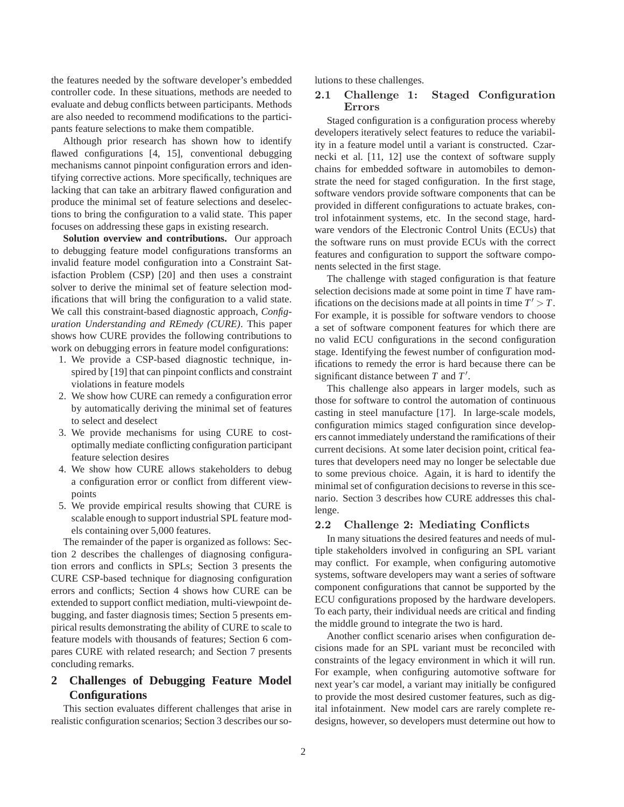the features needed by the software developer's embedded controller code. In these situations, methods are needed to evaluate and debug conflicts between participants. Methods are also needed to recommend modifications to the participants feature selections to make them compatible.

Although prior research has shown how to identify flawed configurations [4, 15], conventional debugging mechanisms cannot pinpoint configuration errors and identifying corrective actions. More specifically, techniques are lacking that can take an arbitrary flawed configuration and produce the minimal set of feature selections and deselections to bring the configuration to a valid state. This paper focuses on addressing these gaps in existing research.

**Solution overview and contributions.** Our approach to debugging feature model configurations transforms an invalid feature model configuration into a Constraint Satisfaction Problem (CSP) [20] and then uses a constraint solver to derive the minimal set of feature selection modifications that will bring the configuration to a valid state. We call this constraint-based diagnostic approach, *Configuration Understanding and REmedy (CURE)*. This paper shows how CURE provides the following contributions to work on debugging errors in feature model configurations:

- 1. We provide a CSP-based diagnostic technique, inspired by [19] that can pinpoint conflicts and constraint violations in feature models
- 2. We show how CURE can remedy a configuration error by automatically deriving the minimal set of features to select and deselect
- 3. We provide mechanisms for using CURE to costoptimally mediate conflicting configuration participant feature selection desires
- 4. We show how CURE allows stakeholders to debug a configuration error or conflict from different viewpoints
- 5. We provide empirical results showing that CURE is scalable enough to support industrial SPL feature models containing over 5,000 features.

The remainder of the paper is organized as follows: Section 2 describes the challenges of diagnosing configuration errors and conflicts in SPLs; Section 3 presents the CURE CSP-based technique for diagnosing configuration errors and conflicts; Section 4 shows how CURE can be extended to support conflict mediation, multi-viewpoint debugging, and faster diagnosis times; Section 5 presents empirical results demonstrating the ability of CURE to scale to feature models with thousands of features; Section 6 compares CURE with related research; and Section 7 presents concluding remarks.

## **2 Challenges of Debugging Feature Model Configurations**

This section evaluates different challenges that arise in realistic configuration scenarios; Section 3 describes our solutions to these challenges.

## 2.1 Challenge 1: Staged Configuration Errors

Staged configuration is a configuration process whereby developers iteratively select features to reduce the variability in a feature model until a variant is constructed. Czarnecki et al. [11, 12] use the context of software supply chains for embedded software in automobiles to demonstrate the need for staged configuration. In the first stage, software vendors provide software components that can be provided in different configurations to actuate brakes, control infotainment systems, etc. In the second stage, hardware vendors of the Electronic Control Units (ECUs) that the software runs on must provide ECUs with the correct features and configuration to support the software components selected in the first stage.

The challenge with staged configuration is that feature selection decisions made at some point in time *T* have ramifications on the decisions made at all points in time  $T' > T$ . For example, it is possible for software vendors to choose a set of software component features for which there are no valid ECU configurations in the second configuration stage. Identifying the fewest number of configuration modifications to remedy the error is hard because there can be significant distance between *T* and *T* ′ .

This challenge also appears in larger models, such as those for software to control the automation of continuous casting in steel manufacture [17]. In large-scale models, configuration mimics staged configuration since developers cannot immediately understand the ramifications of their current decisions. At some later decision point, critical features that developers need may no longer be selectable due to some previous choice. Again, it is hard to identify the minimal set of configuration decisions to reverse in this scenario. Section 3 describes how CURE addresses this challenge.

#### 2.2 Challenge 2: Mediating Conflicts

In many situations the desired features and needs of multiple stakeholders involved in configuring an SPL variant may conflict. For example, when configuring automotive systems, software developers may want a series of software component configurations that cannot be supported by the ECU configurations proposed by the hardware developers. To each party, their individual needs are critical and finding the middle ground to integrate the two is hard.

Another conflict scenario arises when configuration decisions made for an SPL variant must be reconciled with constraints of the legacy environment in which it will run. For example, when configuring automotive software for next year's car model, a variant may initially be configured to provide the most desired customer features, such as digital infotainment. New model cars are rarely complete redesigns, however, so developers must determine out how to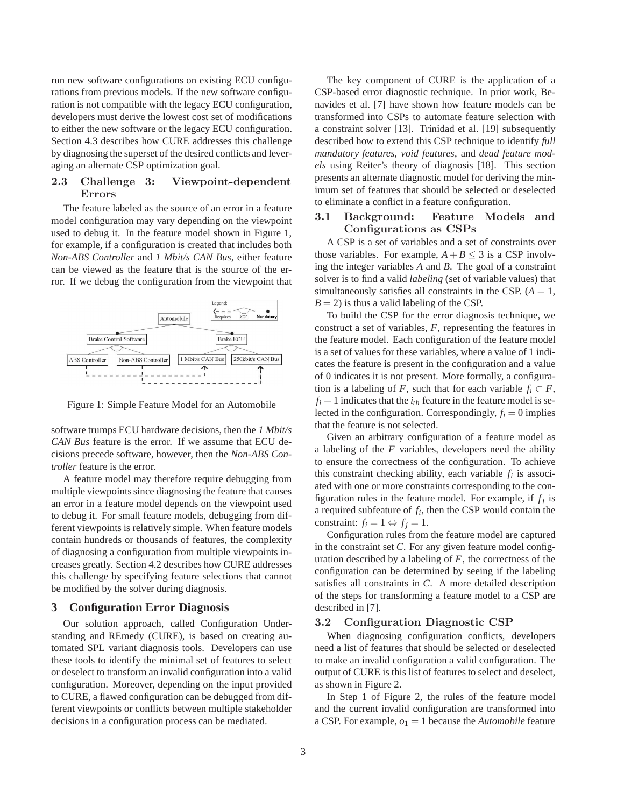run new software configurations on existing ECU configurations from previous models. If the new software configuration is not compatible with the legacy ECU configuration, developers must derive the lowest cost set of modifications to either the new software or the legacy ECU configuration. Section 4.3 describes how CURE addresses this challenge by diagnosing the superset of the desired conflicts and leveraging an alternate CSP optimization goal.

### 2.3 Challenge 3: Viewpoint-dependent Errors

The feature labeled as the source of an error in a feature model configuration may vary depending on the viewpoint used to debug it. In the feature model shown in Figure 1, for example, if a configuration is created that includes both *Non-ABS Controller* and *1 Mbit/s CAN Bus*, either feature can be viewed as the feature that is the source of the error. If we debug the configuration from the viewpoint that



Figure 1: Simple Feature Model for an Automobile

software trumps ECU hardware decisions, then the *1 Mbit/s CAN Bus* feature is the error. If we assume that ECU decisions precede software, however, then the *Non-ABS Controller* feature is the error.

A feature model may therefore require debugging from multiple viewpoints since diagnosing the feature that causes an error in a feature model depends on the viewpoint used to debug it. For small feature models, debugging from different viewpoints is relatively simple. When feature models contain hundreds or thousands of features, the complexity of diagnosing a configuration from multiple viewpoints increases greatly. Section 4.2 describes how CURE addresses this challenge by specifying feature selections that cannot be modified by the solver during diagnosis.

### **3 Configuration Error Diagnosis**

Our solution approach, called Configuration Understanding and REmedy (CURE), is based on creating automated SPL variant diagnosis tools. Developers can use these tools to identify the minimal set of features to select or deselect to transform an invalid configuration into a valid configuration. Moreover, depending on the input provided to CURE, a flawed configuration can be debugged from different viewpoints or conflicts between multiple stakeholder decisions in a configuration process can be mediated.

The key component of CURE is the application of a CSP-based error diagnostic technique. In prior work, Benavides et al. [7] have shown how feature models can be transformed into CSPs to automate feature selection with a constraint solver [13]. Trinidad et al. [19] subsequently described how to extend this CSP technique to identify *full mandatory features*, *void features*, and *dead feature models* using Reiter's theory of diagnosis [18]. This section presents an alternate diagnostic model for deriving the minimum set of features that should be selected or deselected to eliminate a conflict in a feature configuration.

### 3.1 Background: Feature Models and Configurations as CSPs

A CSP is a set of variables and a set of constraints over those variables. For example,  $A + B \leq 3$  is a CSP involving the integer variables *A* and *B*. The goal of a constraint solver is to find a valid *labeling* (set of variable values) that simultaneously satisfies all constraints in the CSP.  $(A = 1,$  $B = 2$ ) is thus a valid labeling of the CSP.

To build the CSP for the error diagnosis technique, we construct a set of variables, *F*, representing the features in the feature model. Each configuration of the feature model is a set of values for these variables, where a value of 1 indicates the feature is present in the configuration and a value of 0 indicates it is not present. More formally, a configuration is a labeling of *F*, such that for each variable  $f_i \subset F$ ,  $f_i = 1$  indicates that the  $i_{th}$  feature in the feature model is selected in the configuration. Correspondingly,  $f_i = 0$  implies that the feature is not selected.

Given an arbitrary configuration of a feature model as a labeling of the *F* variables, developers need the ability to ensure the correctness of the configuration. To achieve this constraint checking ability, each variable  $f_i$  is associated with one or more constraints corresponding to the configuration rules in the feature model. For example, if  $f_j$  is a required subfeature of *f<sup>i</sup>* , then the CSP would contain the constraint:  $f_i = 1 \Leftrightarrow f_j = 1$ .

Configuration rules from the feature model are captured in the constraint set *C*. For any given feature model configuration described by a labeling of *F*, the correctness of the configuration can be determined by seeing if the labeling satisfies all constraints in *C*. A more detailed description of the steps for transforming a feature model to a CSP are described in [7].

#### 3.2 Configuration Diagnostic CSP

When diagnosing configuration conflicts, developers need a list of features that should be selected or deselected to make an invalid configuration a valid configuration. The output of CURE is this list of features to select and deselect, as shown in Figure 2.

In Step 1 of Figure 2, the rules of the feature model and the current invalid configuration are transformed into a CSP. For example,  $o_1 = 1$  because the *Automobile* feature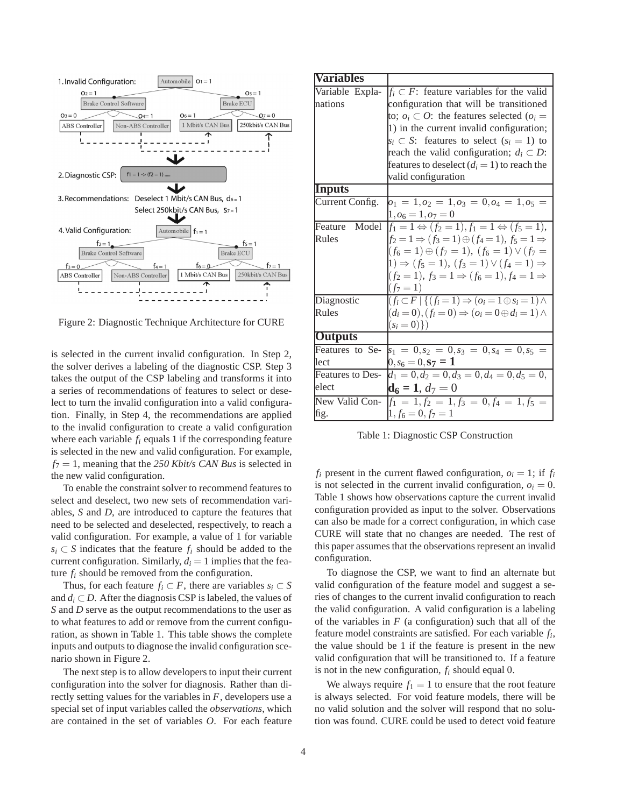

Figure 2: Diagnostic Technique Architecture for CURE

is selected in the current invalid configuration. In Step 2, the solver derives a labeling of the diagnostic CSP. Step 3 takes the output of the CSP labeling and transforms it into a series of recommendations of features to select or deselect to turn the invalid configuration into a valid configuration. Finally, in Step 4, the recommendations are applied to the invalid configuration to create a valid configuration where each variable *f<sup>i</sup>* equals 1 if the corresponding feature is selected in the new and valid configuration. For example, *f*<sup>7</sup> = 1, meaning that the *250 Kbit/s CAN Bus* is selected in the new valid configuration.

To enable the constraint solver to recommend features to select and deselect, two new sets of recommendation variables, *S* and *D*, are introduced to capture the features that need to be selected and deselected, respectively, to reach a valid configuration. For example, a value of 1 for variable *s*<sup>*i*</sup> ⊂ *S* indicates that the feature  $f_i$  should be added to the current configuration. Similarly,  $d_i = 1$  implies that the feature *f<sup>i</sup>* should be removed from the configuration.

Thus, for each feature  $f_i \subset F$ , there are variables  $s_i \subset S$ and  $d_i \subset D$ . After the diagnosis CSP is labeled, the values of *S* and *D* serve as the output recommendations to the user as to what features to add or remove from the current configuration, as shown in Table 1. This table shows the complete inputs and outputs to diagnose the invalid configuration scenario shown in Figure 2.

The next step is to allow developers to input their current configuration into the solver for diagnosis. Rather than directly setting values for the variables in *F*, developers use a special set of input variables called the *observations*, which are contained in the set of variables *O*. For each feature

| <b>Variables</b>        |                                                                                    |
|-------------------------|------------------------------------------------------------------------------------|
| Variable Expla-         | $f_i \subset F$ : feature variables for the valid                                  |
| nations                 | configuration that will be transitioned                                            |
|                         | to; $o_i \subset O$ : the features selected ( $o_i =$                              |
|                         | 1) in the current invalid configuration;                                           |
|                         | $s_i \subset S$ : features to select $(s_i = 1)$ to                                |
|                         | reach the valid configuration; $d_i \subset D$ :                                   |
|                         | features to deselect $(d_i = 1)$ to reach the                                      |
|                         | valid configuration                                                                |
| <b>Inputs</b>           |                                                                                    |
| Current Config.         | $o_1 = 1, o_2 = 1, o_3 = 0, o_4 = 1, o_5 =$                                        |
|                         | $1, o_6 = 1, o_7 = 0$                                                              |
| Model<br>Feature        | $f_1 = 1 \Leftrightarrow (f_2 = 1), \overline{f_1} = 1 \Leftrightarrow (f_5 = 1),$ |
| Rules                   | $f_2 = 1 \Rightarrow (f_3 = 1) \oplus (f_4 = 1), f_5 = 1 \Rightarrow$              |
|                         | $(f_6 = 1) \oplus (f_7 = 1), (f_6 = 1) \vee (f_7 =$                                |
|                         | $1) \Rightarrow (f_5 = 1), (f_3 = 1) \vee (f_4 = 1) \Rightarrow$                   |
|                         | $(f_2 = 1), f_3 = 1 \Rightarrow (f_6 = 1), f_4 = 1 \Rightarrow$                    |
|                         | $(f_7=1)$                                                                          |
| Diagnostic              | $(f_i \subset F   \{ (f_i = 1) \Rightarrow (o_i = 1 \oplus s_i = 1) \land$         |
| Rules                   | $(d_i = 0), (f_i = 0) \Rightarrow (o_i = 0 \oplus d_i = 1) \wedge$                 |
|                         | $(s_i = 0)$ )                                                                      |
| <b>Outputs</b>          |                                                                                    |
| Features to Se-         | $s_1 = 0, s_2 = 0, s_3 = 0, s_4 = 0, s_5 =$                                        |
| lect                    | $0, s_6 = 0, {\bf s_7} = {\bf 1}$                                                  |
| <b>Features to Des-</b> | $d_1 = 0, d_2 = 0, d_3 = 0, d_4 = 0, d_5 = 0,$                                     |
| elect                   | $d6 = 1, d7 = 0$                                                                   |
| New Valid Con-          | $f_1 = 1, f_2 = 1, f_3 = 0, f_4 = 1, f_5 =$                                        |
| fig.                    | $1, f_6 = 0, f_7 = 1$                                                              |

Table 1: Diagnostic CSP Construction

 $f_i$  present in the current flawed configuration,  $o_i = 1$ ; if  $f_i$ is not selected in the current invalid configuration,  $o_i = 0$ . Table 1 shows how observations capture the current invalid configuration provided as input to the solver. Observations can also be made for a correct configuration, in which case CURE will state that no changes are needed. The rest of this paper assumes that the observations represent an invalid configuration.

To diagnose the CSP, we want to find an alternate but valid configuration of the feature model and suggest a series of changes to the current invalid configuration to reach the valid configuration. A valid configuration is a labeling of the variables in  $F$  (a configuration) such that all of the feature model constraints are satisfied. For each variable *f<sup>i</sup>* , the value should be 1 if the feature is present in the new valid configuration that will be transitioned to. If a feature is not in the new configuration, *f<sup>i</sup>* should equal 0.

We always require  $f_1 = 1$  to ensure that the root feature is always selected. For void feature models, there will be no valid solution and the solver will respond that no solution was found. CURE could be used to detect void feature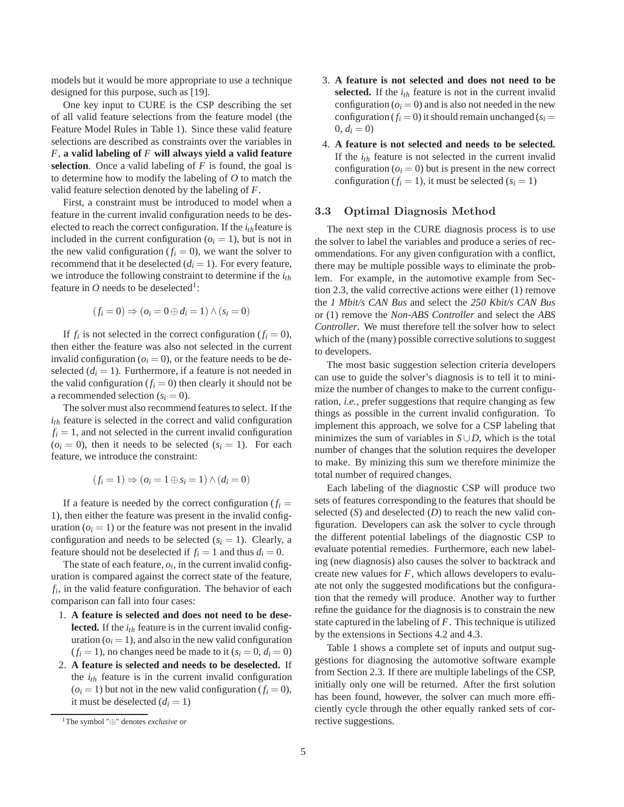models but it would be more appropriate to use a technique designed for this purpose, such as [19].

One key input to CURE is the CSP describing the set of all valid feature selections from the feature model (the Feature Model Rules in Table 1). Since these valid feature selections are described as constraints over the variables in *F*, **a valid labeling of** *F* **will always yield a valid feature selection**. Once a valid labeling of *F* is found, the goal is to determine how to modify the labeling of *O* to match the valid feature selection denoted by the labeling of *F*.

First, a constraint must be introduced to model when a feature in the current invalid configuration needs to be deselected to reach the correct configuration. If the  $i_{th}$  feature is included in the current configuration  $(o<sub>i</sub> = 1)$ , but is not in the new valid configuration  $(f_i = 0)$ , we want the solver to recommend that it be deselected  $(d<sub>i</sub> = 1)$ . For every feature, we introduce the following constraint to determine if the *ith* feature in  $O$  needs to be deselected<sup>1</sup>:

$$
(f_i = 0) \Rightarrow (o_i = 0 \oplus d_i = 1) \land (s_i = 0)
$$

If  $f_i$  is not selected in the correct configuration  $(f_i = 0)$ , then either the feature was also not selected in the current invalid configuration ( $o<sub>i</sub> = 0$ ), or the feature needs to be deselected  $(d<sub>i</sub> = 1)$ . Furthermore, if a feature is not needed in the valid configuration  $(f_i = 0)$  then clearly it should not be a recommended selection  $(s_i = 0)$ .

The solver must also recommend features to select. If the *ith* feature is selected in the correct and valid configuration  $f_i = 1$ , and not selected in the current invalid configuration  $(o<sub>i</sub> = 0)$ , then it needs to be selected  $(s<sub>i</sub> = 1)$ . For each feature, we introduce the constraint:

$$
(f_i = 1) \Rightarrow (o_i = 1 \oplus s_i = 1) \land (d_i = 0)
$$

If a feature is needed by the correct configuration  $(f_i =$ 1), then either the feature was present in the invalid configuration  $(o<sub>i</sub> = 1)$  or the feature was not present in the invalid configuration and needs to be selected  $(s<sub>i</sub> = 1)$ . Clearly, a feature should not be deselected if  $f_i = 1$  and thus  $d_i = 0$ .

The state of each feature,  $o_i$ , in the current invalid configuration is compared against the correct state of the feature, *fi* , in the valid feature configuration. The behavior of each comparison can fall into four cases:

- 1. **A feature is selected and does not need to be deselected.** If the *ith* feature is in the current invalid configuration  $(o<sub>i</sub> = 1)$ , and also in the new valid configuration  $(f<sub>i</sub> = 1)$ , no changes need be made to it  $(s<sub>i</sub> = 0, d<sub>i</sub> = 0)$
- 2. **A feature is selected and needs to be deselected.** If the *ith* feature is in the current invalid configuration  $(o<sub>i</sub> = 1)$  but not in the new valid configuration  $(f<sub>i</sub> = 0)$ , it must be deselected  $(d<sub>i</sub> = 1)$
- 3. **A feature is not selected and does not need to be selected.** If the *ith* feature is not in the current invalid configuration ( $o_i = 0$ ) and is also not needed in the new configuration  $(f_i = 0)$  it should remain unchanged  $(s_i = 0)$  $0, d_i = 0$
- 4. **A feature is not selected and needs to be selected.** If the  $i_{th}$  feature is not selected in the current invalid configuration  $(o<sub>i</sub> = 0)$  but is present in the new correct configuration ( $f_i = 1$ ), it must be selected ( $s_i = 1$ )

### 3.3 Optimal Diagnosis Method

The next step in the CURE diagnosis process is to use the solver to label the variables and produce a series of recommendations. For any given configuration with a conflict, there may be multiple possible ways to eliminate the problem. For example, in the automotive example from Section 2.3, the valid corrective actions were either (1) remove the *1 Mbit/s CAN Bus* and select the *250 Kbit/s CAN Bus* or (1) remove the *Non-ABS Controller* and select the *ABS Controller*. We must therefore tell the solver how to select which of the (many) possible corrective solutions to suggest to developers.

The most basic suggestion selection criteria developers can use to guide the solver's diagnosis is to tell it to minimize the number of changes to make to the current configuration, *i.e.*, prefer suggestions that require changing as few things as possible in the current invalid configuration. To implement this approach, we solve for a CSP labeling that minimizes the sum of variables in  $S \cup D$ , which is the total number of changes that the solution requires the developer to make. By minizing this sum we therefore minimize the total number of required changes.

Each labeling of the diagnostic CSP will produce two sets of features corresponding to the features that should be selected (*S*) and deselected (*D*) to reach the new valid configuration. Developers can ask the solver to cycle through the different potential labelings of the diagnostic CSP to evaluate potential remedies. Furthermore, each new labeling (new diagnosis) also causes the solver to backtrack and create new values for *F*, which allows developers to evaluate not only the suggested modifications but the configuration that the remedy will produce. Another way to further refine the guidance for the diagnosis is to constrain the new state captured in the labeling of *F*. This technique is utilized by the extensions in Sections 4.2 and 4.3.

Table 1 shows a complete set of inputs and output suggestions for diagnosing the automotive software example from Section 2.3. If there are multiple labelings of the CSP, initially only one will be returned. After the first solution has been found, however, the solver can much more efficiently cycle through the other equally ranked sets of corrective suggestions.

<sup>1</sup>The symbol "⊕" denotes *exclusive or*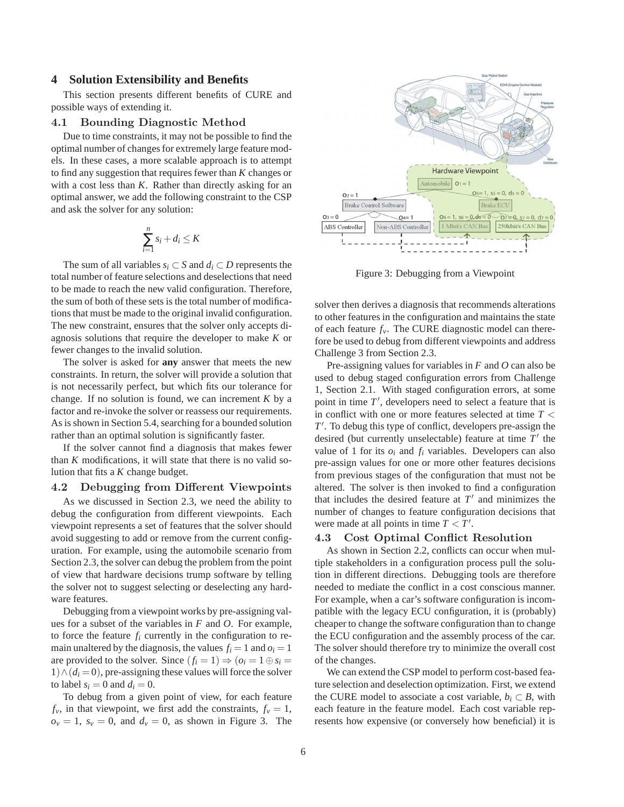#### **4 Solution Extensibility and Benefits**

This section presents different benefits of CURE and possible ways of extending it.

#### 4.1 Bounding Diagnostic Method

Due to time constraints, it may not be possible to find the optimal number of changes for extremely large feature models. In these cases, a more scalable approach is to attempt to find any suggestion that requires fewer than *K* changes or with a cost less than *K*. Rather than directly asking for an optimal answer, we add the following constraint to the CSP and ask the solver for any solution:

$$
\sum_{i=1}^{n} s_i + d_i \leq K
$$

The sum of all variables *s*<sup>*i*</sup> ⊂ *S* and *d*<sup>*i*</sup> ⊂ *D* represents the total number of feature selections and deselections that need to be made to reach the new valid configuration. Therefore, the sum of both of these sets is the total number of modifications that must be made to the original invalid configuration. The new constraint, ensures that the solver only accepts diagnosis solutions that require the developer to make *K* or fewer changes to the invalid solution.

The solver is asked for **any** answer that meets the new constraints. In return, the solver will provide a solution that is not necessarily perfect, but which fits our tolerance for change. If no solution is found, we can increment *K* by a factor and re-invoke the solver or reassess our requirements. As is shown in Section 5.4, searching for a bounded solution rather than an optimal solution is significantly faster.

If the solver cannot find a diagnosis that makes fewer than *K* modifications, it will state that there is no valid solution that fits a *K* change budget.

### 4.2 Debugging from Different Viewpoints

As we discussed in Section 2.3, we need the ability to debug the configuration from different viewpoints. Each viewpoint represents a set of features that the solver should avoid suggesting to add or remove from the current configuration. For example, using the automobile scenario from Section 2.3, the solver can debug the problem from the point of view that hardware decisions trump software by telling the solver not to suggest selecting or deselecting any hardware features.

Debugging from a viewpoint works by pre-assigning values for a subset of the variables in *F* and *O*. For example, to force the feature  $f_i$  currently in the configuration to remain unaltered by the diagnosis, the values  $f_i = 1$  and  $o_i = 1$ are provided to the solver. Since  $(f_i = 1) \Rightarrow (o_i = 1 \oplus s_i =$  $1) \wedge (d_i = 0)$ , pre-assigning these values will force the solver to label  $s_i = 0$  and  $d_i = 0$ .

To debug from a given point of view, for each feature  $f_v$ , in that viewpoint, we first add the constraints,  $f_v = 1$ ,  $o_v = 1$ ,  $s_v = 0$ , and  $d_v = 0$ , as shown in Figure 3. The



Figure 3: Debugging from a Viewpoint

solver then derives a diagnosis that recommends alterations to other features in the configuration and maintains the state of each feature  $f_v$ . The CURE diagnostic model can therefore be used to debug from different viewpoints and address Challenge 3 from Section 2.3.

Pre-assigning values for variables in *F* and *O* can also be used to debug staged configuration errors from Challenge 1, Section 2.1. With staged configuration errors, at some point in time  $T'$ , developers need to select a feature that is in conflict with one or more features selected at time *T* < *T* ′ . To debug this type of conflict, developers pre-assign the desired (but currently unselectable) feature at time T' the value of 1 for its  $o_i$  and  $f_i$  variables. Developers can also pre-assign values for one or more other features decisions from previous stages of the configuration that must not be altered. The solver is then invoked to find a configuration that includes the desired feature at  $T'$  and minimizes the number of changes to feature configuration decisions that were made at all points in time  $T < T'$ .

#### 4.3 Cost Optimal Conflict Resolution

As shown in Section 2.2, conflicts can occur when multiple stakeholders in a configuration process pull the solution in different directions. Debugging tools are therefore needed to mediate the conflict in a cost conscious manner. For example, when a car's software configuration is incompatible with the legacy ECU configuration, it is (probably) cheaper to change the software configuration than to change the ECU configuration and the assembly process of the car. The solver should therefore try to minimize the overall cost of the changes.

We can extend the CSP model to perform cost-based feature selection and deselection optimization. First, we extend the CURE model to associate a cost variable,  $b_i \subset B$ , with each feature in the feature model. Each cost variable represents how expensive (or conversely how beneficial) it is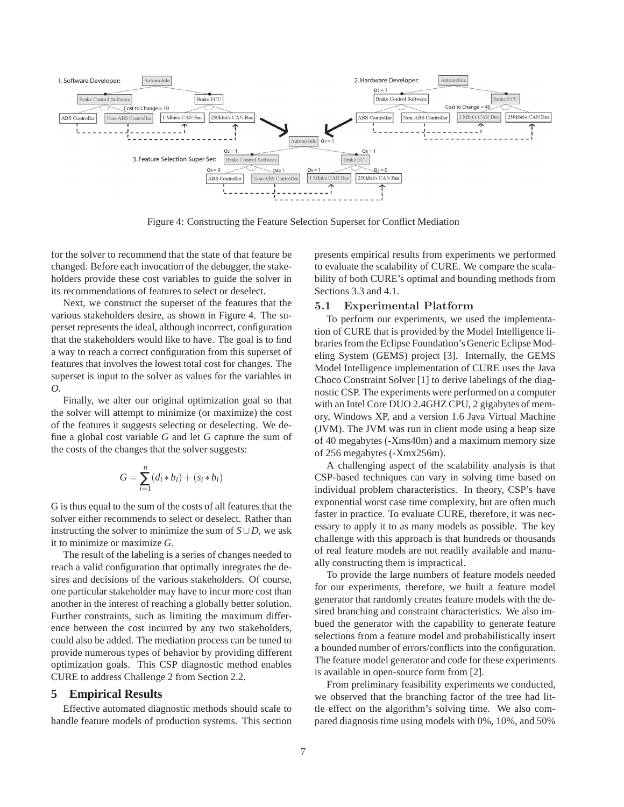

Figure 4: Constructing the Feature Selection Superset for Conflict Mediation

for the solver to recommend that the state of that feature be changed. Before each invocation of the debugger, the stakeholders provide these cost variables to guide the solver in its recommendations of features to select or deselect.

Next, we construct the superset of the features that the various stakeholders desire, as shown in Figure 4. The superset represents the ideal, although incorrect, configuration that the stakeholders would like to have. The goal is to find a way to reach a correct configuration from this superset of features that involves the lowest total cost for changes. The superset is input to the solver as values for the variables in *O*.

Finally, we alter our original optimization goal so that the solver will attempt to minimize (or maximize) the cost of the features it suggests selecting or deselecting. We define a global cost variable *G* and let *G* capture the sum of the costs of the changes that the solver suggests:

$$
G = \sum_{i=1}^{n} (d_i * b_i) + (s_i * b_i)
$$

G is thus equal to the sum of the costs of all features that the solver either recommends to select or deselect. Rather than instructing the solver to minimize the sum of  $S \cup D$ , we ask it to minimize or maximize *G*.

The result of the labeling is a series of changes needed to reach a valid configuration that optimally integrates the desires and decisions of the various stakeholders. Of course, one particular stakeholder may have to incur more cost than another in the interest of reaching a globally better solution. Further constraints, such as limiting the maximum difference between the cost incurred by any two stakeholders, could also be added. The mediation process can be tuned to provide numerous types of behavior by providing different optimization goals. This CSP diagnostic method enables CURE to address Challenge 2 from Section 2.2.

### **5 Empirical Results**

Effective automated diagnostic methods should scale to handle feature models of production systems. This section

presents empirical results from experiments we performed to evaluate the scalability of CURE. We compare the scalability of both CURE's optimal and bounding methods from Sections 3.3 and 4.1.

#### 5.1 Experimental Platform

To perform our experiments, we used the implementation of CURE that is provided by the Model Intelligence libraries from the Eclipse Foundation's Generic Eclipse Modeling System (GEMS) project [3]. Internally, the GEMS Model Intelligence implementation of CURE uses the Java Choco Constraint Solver [1] to derive labelings of the diagnostic CSP. The experiments were performed on a computer with an Intel Core DUO 2.4GHZ CPU, 2 gigabytes of memory, Windows XP, and a version 1.6 Java Virtual Machine (JVM). The JVM was run in client mode using a heap size of 40 megabytes (-Xms40m) and a maximum memory size of 256 megabytes (-Xmx256m).

A challenging aspect of the scalability analysis is that CSP-based techniques can vary in solving time based on individual problem characteristics. In theory, CSP's have exponential worst case time complexity, but are often much faster in practice. To evaluate CURE, therefore, it was necessary to apply it to as many models as possible. The key challenge with this approach is that hundreds or thousands of real feature models are not readily available and manually constructing them is impractical.

To provide the large numbers of feature models needed for our experiments, therefore, we built a feature model generator that randomly creates feature models with the desired branching and constraint characteristics. We also imbued the generator with the capability to generate feature selections from a feature model and probabilistically insert a bounded number of errors/conflicts into the configuration. The feature model generator and code for these experiments is available in open-source form from [2].

From preliminary feasibility experiments we conducted, we observed that the branching factor of the tree had little effect on the algorithm's solving time. We also compared diagnosis time using models with 0%, 10%, and 50%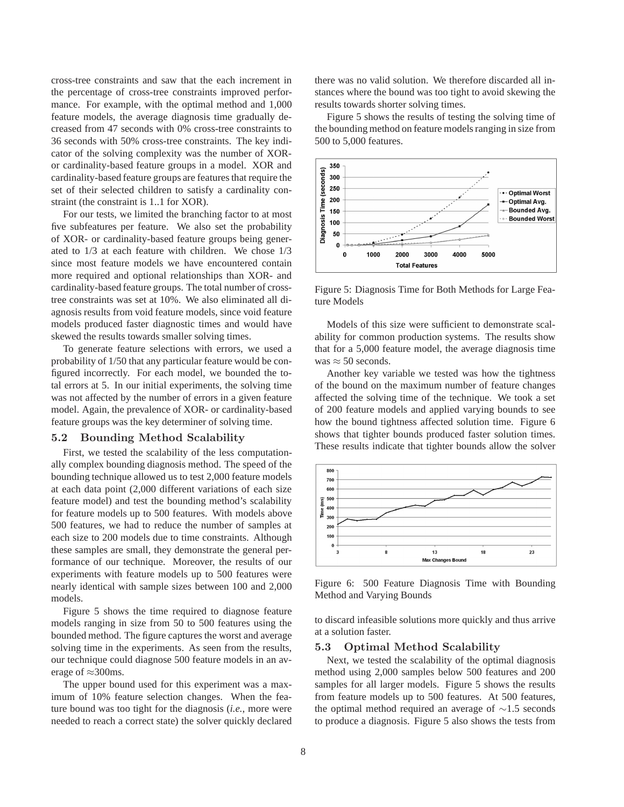cross-tree constraints and saw that the each increment in the percentage of cross-tree constraints improved performance. For example, with the optimal method and 1,000 feature models, the average diagnosis time gradually decreased from 47 seconds with 0% cross-tree constraints to 36 seconds with 50% cross-tree constraints. The key indicator of the solving complexity was the number of XORor cardinality-based feature groups in a model. XOR and cardinality-based feature groups are features that require the set of their selected children to satisfy a cardinality constraint (the constraint is 1..1 for XOR).

For our tests, we limited the branching factor to at most five subfeatures per feature. We also set the probability of XOR- or cardinality-based feature groups being generated to 1/3 at each feature with children. We chose 1/3 since most feature models we have encountered contain more required and optional relationships than XOR- and cardinality-based feature groups. The total number of crosstree constraints was set at 10%. We also eliminated all diagnosis results from void feature models, since void feature models produced faster diagnostic times and would have skewed the results towards smaller solving times.

To generate feature selections with errors, we used a probability of 1/50 that any particular feature would be configured incorrectly. For each model, we bounded the total errors at 5. In our initial experiments, the solving time was not affected by the number of errors in a given feature model. Again, the prevalence of XOR- or cardinality-based feature groups was the key determiner of solving time.

#### 5.2 Bounding Method Scalability

First, we tested the scalability of the less computationally complex bounding diagnosis method. The speed of the bounding technique allowed us to test 2,000 feature models at each data point (2,000 different variations of each size feature model) and test the bounding method's scalability for feature models up to 500 features. With models above 500 features, we had to reduce the number of samples at each size to 200 models due to time constraints. Although these samples are small, they demonstrate the general performance of our technique. Moreover, the results of our experiments with feature models up to 500 features were nearly identical with sample sizes between 100 and 2,000 models.

Figure 5 shows the time required to diagnose feature models ranging in size from 50 to 500 features using the bounded method. The figure captures the worst and average solving time in the experiments. As seen from the results, our technique could diagnose 500 feature models in an average of  $\approx$ 300ms.

The upper bound used for this experiment was a maximum of 10% feature selection changes. When the feature bound was too tight for the diagnosis (*i.e.*, more were needed to reach a correct state) the solver quickly declared

there was no valid solution. We therefore discarded all instances where the bound was too tight to avoid skewing the results towards shorter solving times.

Figure 5 shows the results of testing the solving time of the bounding method on feature models ranging in size from 500 to 5,000 features.



Figure 5: Diagnosis Time for Both Methods for Large Feature Models

Models of this size were sufficient to demonstrate scalability for common production systems. The results show that for a 5,000 feature model, the average diagnosis time was  $\approx$  50 seconds.

Another key variable we tested was how the tightness of the bound on the maximum number of feature changes affected the solving time of the technique. We took a set of 200 feature models and applied varying bounds to see how the bound tightness affected solution time. Figure 6 shows that tighter bounds produced faster solution times. These results indicate that tighter bounds allow the solver



Figure 6: 500 Feature Diagnosis Time with Bounding Method and Varying Bounds

to discard infeasible solutions more quickly and thus arrive at a solution faster.

#### 5.3 Optimal Method Scalability

Next, we tested the scalability of the optimal diagnosis method using 2,000 samples below 500 features and 200 samples for all larger models. Figure 5 shows the results from feature models up to 500 features. At 500 features, the optimal method required an average of ∼1.5 seconds to produce a diagnosis. Figure 5 also shows the tests from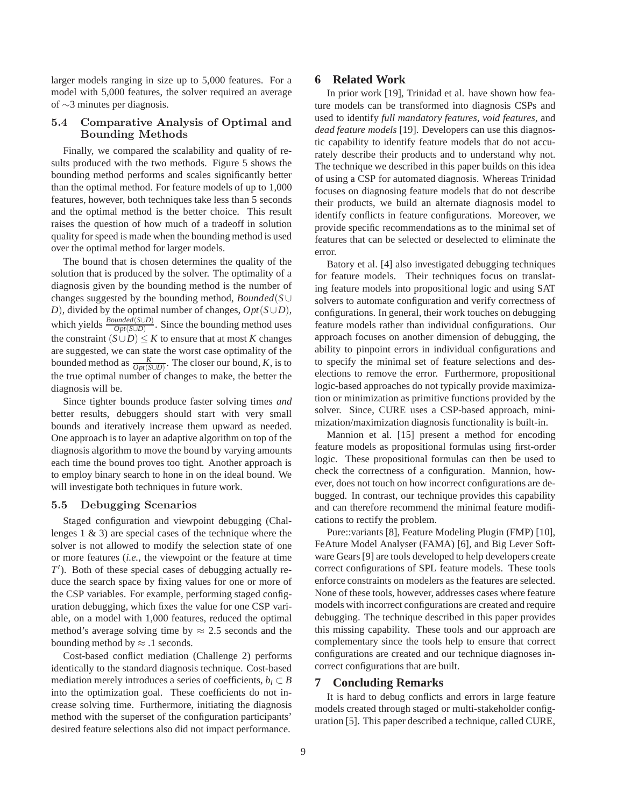larger models ranging in size up to 5,000 features. For a model with 5,000 features, the solver required an average of ∼3 minutes per diagnosis.

### 5.4 Comparative Analysis of Optimal and Bounding Methods

Finally, we compared the scalability and quality of results produced with the two methods. Figure 5 shows the bounding method performs and scales significantly better than the optimal method. For feature models of up to 1,000 features, however, both techniques take less than 5 seconds and the optimal method is the better choice. This result raises the question of how much of a tradeoff in solution quality for speed is made when the bounding method is used over the optimal method for larger models.

The bound that is chosen determines the quality of the solution that is produced by the solver. The optimality of a diagnosis given by the bounding method is the number of changes suggested by the bounding method, *Bounded*(*S*∪ *D*), divided by the optimal number of changes, *Opt*(*S*∪*D*), which yields  $\frac{Bounded(S \cup D)}{Opt(S \cup D)}$ . Since the bounding method uses the constraint  $(S \cup D) \leq K$  to ensure that at most *K* changes are suggested, we can state the worst case optimality of the bounded method as  $\frac{K}{Opt(S \cup D)}$ . The closer our bound, *K*, is to the true optimal number of changes to make, the better the diagnosis will be.

Since tighter bounds produce faster solving times *and* better results, debuggers should start with very small bounds and iteratively increase them upward as needed. One approach is to layer an adaptive algorithm on top of the diagnosis algorithm to move the bound by varying amounts each time the bound proves too tight. Another approach is to employ binary search to hone in on the ideal bound. We will investigate both techniques in future work.

### 5.5 Debugging Scenarios

Staged configuration and viewpoint debugging (Challenges 1 & 3) are special cases of the technique where the solver is not allowed to modify the selection state of one or more features (*i.e.*, the viewpoint or the feature at time *T*<sup>'</sup>). Both of these special cases of debugging actually reduce the search space by fixing values for one or more of the CSP variables. For example, performing staged configuration debugging, which fixes the value for one CSP variable, on a model with 1,000 features, reduced the optimal method's average solving time by  $\approx 2.5$  seconds and the bounding method by  $\approx$  .1 seconds.

Cost-based conflict mediation (Challenge 2) performs identically to the standard diagnosis technique. Cost-based mediation merely introduces a series of coefficients,  $b_i \subset B$ into the optimization goal. These coefficients do not increase solving time. Furthermore, initiating the diagnosis method with the superset of the configuration participants' desired feature selections also did not impact performance.

#### **6 Related Work**

In prior work [19], Trinidad et al. have shown how feature models can be transformed into diagnosis CSPs and used to identify *full mandatory features*, *void features*, and *dead feature models* [19]. Developers can use this diagnostic capability to identify feature models that do not accurately describe their products and to understand why not. The technique we described in this paper builds on this idea of using a CSP for automated diagnosis. Whereas Trinidad focuses on diagnosing feature models that do not describe their products, we build an alternate diagnosis model to identify conflicts in feature configurations. Moreover, we provide specific recommendations as to the minimal set of features that can be selected or deselected to eliminate the error.

Batory et al. [4] also investigated debugging techniques for feature models. Their techniques focus on translating feature models into propositional logic and using SAT solvers to automate configuration and verify correctness of configurations. In general, their work touches on debugging feature models rather than individual configurations. Our approach focuses on another dimension of debugging, the ability to pinpoint errors in individual configurations and to specify the minimal set of feature selections and deselections to remove the error. Furthermore, propositional logic-based approaches do not typically provide maximization or minimization as primitive functions provided by the solver. Since, CURE uses a CSP-based approach, minimization/maximization diagnosis functionality is built-in.

Mannion et al. [15] present a method for encoding feature models as propositional formulas using first-order logic. These propositional formulas can then be used to check the correctness of a configuration. Mannion, however, does not touch on how incorrect configurations are debugged. In contrast, our technique provides this capability and can therefore recommend the minimal feature modifications to rectify the problem.

Pure::variants [8], Feature Modeling Plugin (FMP) [10], FeAture Model Analyser (FAMA) [6], and Big Lever Software Gears [9] are tools developed to help developers create correct configurations of SPL feature models. These tools enforce constraints on modelers as the features are selected. None of these tools, however, addresses cases where feature models with incorrect configurations are created and require debugging. The technique described in this paper provides this missing capability. These tools and our approach are complementary since the tools help to ensure that correct configurations are created and our technique diagnoses incorrect configurations that are built.

### **7 Concluding Remarks**

It is hard to debug conflicts and errors in large feature models created through staged or multi-stakeholder configuration [5]. This paper described a technique, called CURE,